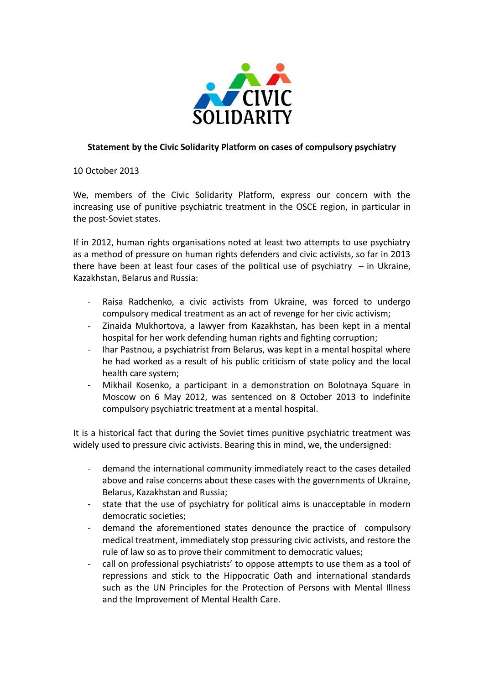

## **Statement by the Civic Solidarity Platform on cases of compulsory psychiatry**

10 October 2013

We, members of the Civic Solidarity Platform, express our concern with the increasing use of punitive psychiatric treatment in the OSCE region, in particular in the post-Soviet states.

If in 2012, human rights organisations noted at least two attempts to use psychiatry as a method of pressure on human rights defenders and civic activists, so far in 2013 there have been at least four cases of the political use of psychiatry  $-$  in Ukraine, Kazakhstan, Belarus and Russia:

- Raisa Radchenko, a civic activists from Ukraine, was forced to undergo compulsory medical treatment as an act of revenge for her civic activism;
- Zinaida Mukhortova, a lawyer from Kazakhstan, has been kept in a mental hospital for her work defending human rights and fighting corruption;
- Ihar Pastnou, a psychiatrist from Belarus, was kept in a mental hospital where he had worked as a result of his public criticism of state policy and the local health care system;
- Mikhail Kosenko, a participant in a demonstration on Bolotnaya Square in Moscow on 6 May 2012, was sentenced on 8 October 2013 to indefinite compulsory psychiatric treatment at a mental hospital.

It is a historical fact that during the Soviet times punitive psychiatric treatment was widely used to pressure civic activists. Bearing this in mind, we, the undersigned:

- demand the international community immediately react to the cases detailed above and raise concerns about these cases with the governments of Ukraine, Belarus, Kazakhstan and Russia;
- state that the use of psychiatry for political aims is unacceptable in modern democratic societies;
- demand the aforementioned states denounce the practice of compulsory medical treatment, immediately stop pressuring civic activists, and restore the rule of law so as to prove their commitment to democratic values;
- call on professional psychiatrists' to oppose attempts to use them as a tool of repressions and stick to the Hippocratic Oath and international standards such as the UN Principles for the Protection of Persons with Mental Illness and the Improvement of Mental Health Care.